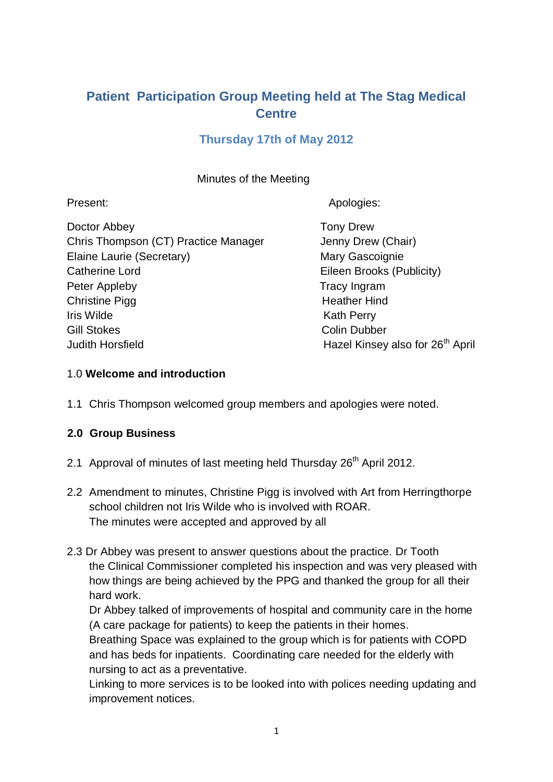# **Patient Participation Group Meeting held at The Stag Medical Centre**

# **Thursday 17th of May 2012**

### Minutes of the Meeting

Present: Apologies: Apologies: Apologies: Apologies: Apologies: Apologies: Apologies: Apologies: Apologies: Apologies: Apologies: Apologies: Apologies: Apologies: Apologies: Apologies: Apologies: Apologies: Apologies: Apol

Doctor Abbey **Tony Drew** Chris Thompson (CT) Practice Manager Jenny Drew (Chair) Elaine Laurie (Secretary) Mary Gascoignie Catherine Lord **Eileen Brooks (Publicity)** Peter Appleby Tracy Ingram Christine Pigg **Heather Hind Iris Wilde** Kath Perry Gill Stokes Colin Dubber Judith Horsfield **Hazel Kinsey also for 26<sup>th</sup> April** 

### 1.0 **Welcome and introduction**

1.1 Chris Thompson welcomed group members and apologies were noted.

# **2.0 Group Business**

- 2.1 Approval of minutes of last meeting held Thursday 26<sup>th</sup> April 2012.
- 2.2 Amendment to minutes, Christine Pigg is involved with Art from Herringthorpe school children not Iris Wilde who is involved with ROAR. The minutes were accepted and approved by all
- 2.3 Dr Abbey was present to answer questions about the practice. Dr Tooth the Clinical Commissioner completed his inspection and was very pleased with how things are being achieved by the PPG and thanked the group for all their hard work.

Dr Abbey talked of improvements of hospital and community care in the home (A care package for patients) to keep the patients in their homes.

Breathing Space was explained to the group which is for patients with COPD and has beds for inpatients. Coordinating care needed for the elderly with nursing to act as a preventative.

Linking to more services is to be looked into with polices needing updating and improvement notices.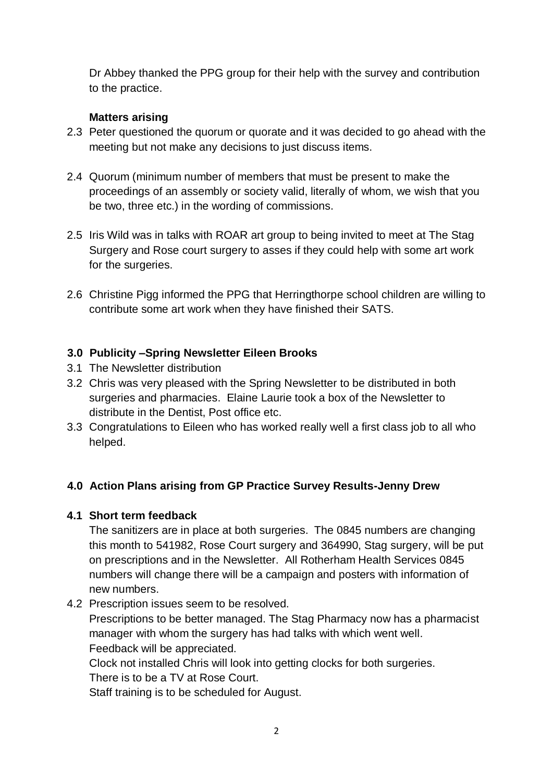Dr Abbey thanked the PPG group for their help with the survey and contribution to the practice.

#### **Matters arising**

- 2.3 Peter questioned the quorum or quorate and it was decided to go ahead with the meeting but not make any decisions to just discuss items.
- 2.4 Quorum (minimum number of members that must be present to make the proceedings of an assembly or society valid, literally of whom, we wish that you be two, three etc.) in the wording of commissions.
- 2.5 Iris Wild was in talks with ROAR art group to being invited to meet at The Stag Surgery and Rose court surgery to asses if they could help with some art work for the surgeries.
- 2.6 Christine Pigg informed the PPG that Herringthorpe school children are willing to contribute some art work when they have finished their SATS.

### **3.0 Publicity –Spring Newsletter Eileen Brooks**

- 3.1 The Newsletter distribution
- 3.2 Chris was very pleased with the Spring Newsletter to be distributed in both surgeries and pharmacies. Elaine Laurie took a box of the Newsletter to distribute in the Dentist, Post office etc.
- 3.3 Congratulations to Eileen who has worked really well a first class job to all who helped.

# **4.0 Action Plans arising from GP Practice Survey Results-Jenny Drew**

# **4.1 Short term feedback**

The sanitizers are in place at both surgeries. The 0845 numbers are changing this month to 541982, Rose Court surgery and 364990, Stag surgery, will be put on prescriptions and in the Newsletter. All Rotherham Health Services 0845 numbers will change there will be a campaign and posters with information of new numbers.

4.2 Prescription issues seem to be resolved.

Prescriptions to be better managed. The Stag Pharmacy now has a pharmacist manager with whom the surgery has had talks with which went well. Feedback will be appreciated.

Clock not installed Chris will look into getting clocks for both surgeries.

There is to be a TV at Rose Court.

Staff training is to be scheduled for August.